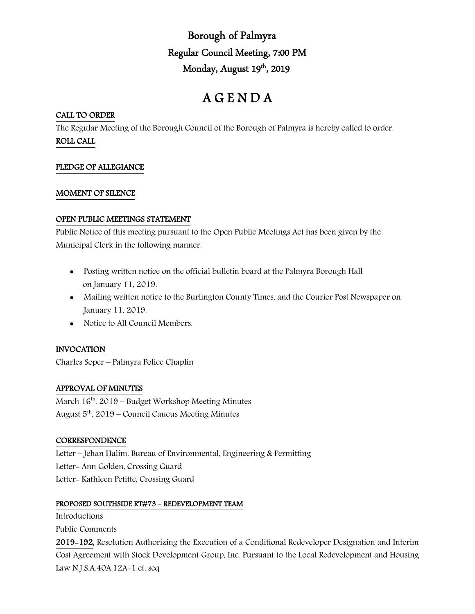## Borough of Palmyra Regular Council Meeting, 7:00 PM Monday, August 19<sup>th</sup>, 2019

# A G E N D A

## CALL TO ORDER

The Regular Meeting of the Borough Council of the Borough of Palmyra is hereby called to order. ROLL CALL

## PLEDGE OF ALLEGIANCE

#### MOMENT OF SILENCE

## OPEN PUBLIC MEETINGS STATEMENT

Public Notice of this meeting pursuant to the Open Public Meetings Act has been given by the Municipal Clerk in the following manner:

- Posting written notice on the official bulletin board at the Palmyra Borough Hall on January 11, 2019.
- Mailing written notice to the Burlington County Times, and the Courier Post Newspaper on January 11, 2019.
- Notice to All Council Members.

## INVOCATION

Charles Soper – Palmyra Police Chaplin

## APPROVAL OF MINUTES

March  $16<sup>th</sup>$ , 2019 – Budget Workshop Meeting Minutes August  $5<sup>th</sup>$ , 2019 – Council Caucus Meeting Minutes

#### **CORRESPONDENCE**

Letter – Jehan Halim, Bureau of Environmental, Engineering & Permitting Letter- Ann Golden, Crossing Guard Letter- Kathleen Petitte, Crossing Guard

#### PROPOSED SOUTHSIDE RT#73 - REDEVELOPMENT TEAM

Introductions

Public Comments

2019-192, Resolution Authorizing the Execution of a Conditional Redeveloper Designation and Interim Cost Agreement with Stock Development Group, Inc. Pursuant to the Local Redevelopment and Housing Law N.J.S.A.40A:12A-1 et, seq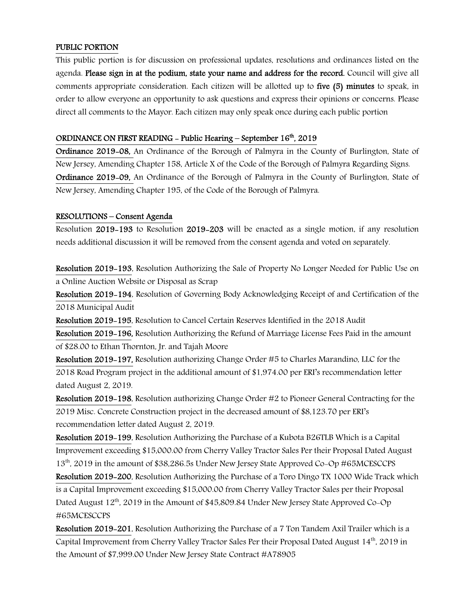#### PUBLIC PORTION

This public portion is for discussion on professional updates, resolutions and ordinances listed on the agenda. Please sign in at the podium, state your name and address for the record. Council will give all comments appropriate consideration. Each citizen will be allotted up to five (5) minutes to speak, in order to allow everyone an opportunity to ask questions and express their opinions or concerns. Please direct all comments to the Mayor. Each citizen may only speak once during each public portion

#### ORDINANCE ON FIRST READING - Public Hearing – September 16th, 2019

Ordinance 2019-08, An Ordinance of the Borough of Palmyra in the County of Burlington, State of New Jersey, Amending Chapter 158, Article X of the Code of the Borough of Palmyra Regarding Signs. Ordinance 2019-09, An Ordinance of the Borough of Palmyra in the County of Burlington, State of New Jersey, Amending Chapter 195, of the Code of the Borough of Palmyra.

#### RESOLUTIONS – Consent Agenda

Resolution 2019-193 to Resolution 2019-203 will be enacted as a single motion, if any resolution needs additional discussion it will be removed from the consent agenda and voted on separately.

Resolution 2019-193, Resolution Authorizing the Sale of Property No Longer Needed for Public Use on a Online Auction Website or Disposal as Scrap

Resolution 2019-194, Resolution of Governing Body Acknowledging Receipt of and Certification of the 2018 Municipal Audit

Resolution 2019-195, Resolution to Cancel Certain Reserves Identified in the 2018 Audit

Resolution 2019-196, Resolution Authorizing the Refund of Marriage License Fees Paid in the amount of \$28.00 to Ethan Thornton, Jr. and Tajah Moore

Resolution 2019-197, Resolution authorizing Change Order #5 to Charles Marandino, LLC for the 2018 Road Program project in the additional amount of \$1,974.00 per ERI's recommendation letter dated August 2, 2019.

Resolution 2019-198, Resolution authorizing Change Order #2 to Pioneer General Contracting for the 2019 Misc. Concrete Construction project in the decreased amount of \$8,123.70 per ERI's recommendation letter dated August 2, 2019.

Resolution 2019-199, Resolution Authorizing the Purchase of a Kubota B26TLB Which is a Capital Improvement exceeding \$15,000.00 from Cherry Valley Tractor Sales Per their Proposal Dated August 13th, 2019 in the amount of \$38,286.5s Under New Jersey State Approved Co-Op #65MCESCCPS

Resolution 2019-200, Resolution Authorizing the Purchase of a Toro Dingo TX 1000 Wide Track which is a Capital Improvement exceeding \$15,000.00 from Cherry Valley Tractor Sales per their Proposal Dated August  $12<sup>th</sup>$ , 2019 in the Amount of \$45,809.84 Under New Jersey State Approved Co-Op #65MCESCCPS

Resolution 2019-201, Resolution Authorizing the Purchase of a 7 Ton Tandem Axil Trailer which is a Capital Improvement from Cherry Valley Tractor Sales Per their Proposal Dated August 14<sup>th</sup>, 2019 in the Amount of \$7,999.00 Under New Jersey State Contract #A78905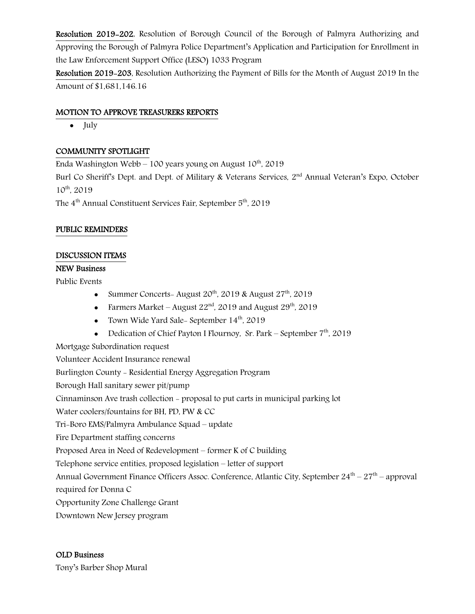Resolution 2019-202, Resolution of Borough Council of the Borough of Palmyra Authorizing and Approving the Borough of Palmyra Police Department's Application and Participation for Enrollment in the Law Enforcement Support Office (LESO) 1033 Program

Resolution 2019-203, Resolution Authorizing the Payment of Bills for the Month of August 2019 In the Amount of \$1,681,146.16

#### MOTION TO APPROVE TREASURERS REPORTS

• July

## COMMUNITY SPOTLIGHT

Enda Washington Webb – 100 years young on August  $10<sup>th</sup>$ , 2019

Burl Co Sheriff's Dept. and Dept. of Military & Veterans Services, 2<sup>nd</sup> Annual Veteran's Expo, October  $10^{th}$ ,  $2019$ 

The 4<sup>th</sup> Annual Constituent Services Fair, September 5<sup>th</sup>, 2019

#### PUBLIC REMINDERS

## DISCUSSION ITEMS

#### NEW Business

Public Events

- Summer Concerts- August  $20^{th}$ ,  $2019$  & August  $27^{th}$ ,  $2019$
- Farmers Market August  $22<sup>nd</sup>$ , 2019 and August  $29<sup>th</sup>$ , 2019
- Town Wide Yard Sale- September  $14<sup>th</sup>$ , 2019
- Dedication of Chief Payton I Flournoy, Sr. Park September  $7<sup>th</sup>$ , 2019

Mortgage Subordination request

Volunteer Accident Insurance renewal Burlington County - Residential Energy Aggregation Program Borough Hall sanitary sewer pit/pump Cinnaminson Ave trash collection - proposal to put carts in municipal parking lot Water coolers/fountains for BH, PD, PW & CC Tri-Boro EMS/Palmyra Ambulance Squad – update Fire Department staffing concerns Proposed Area in Need of Redevelopment – former K of C building Telephone service entities, proposed legislation – letter of support Annual Government Finance Officers Assoc. Conference, Atlantic City, September  $24^{th} - 27^{th}$  – approval required for Donna C Opportunity Zone Challenge Grant Downtown New Jersey program

#### OLD Business

Tony's Barber Shop Mural